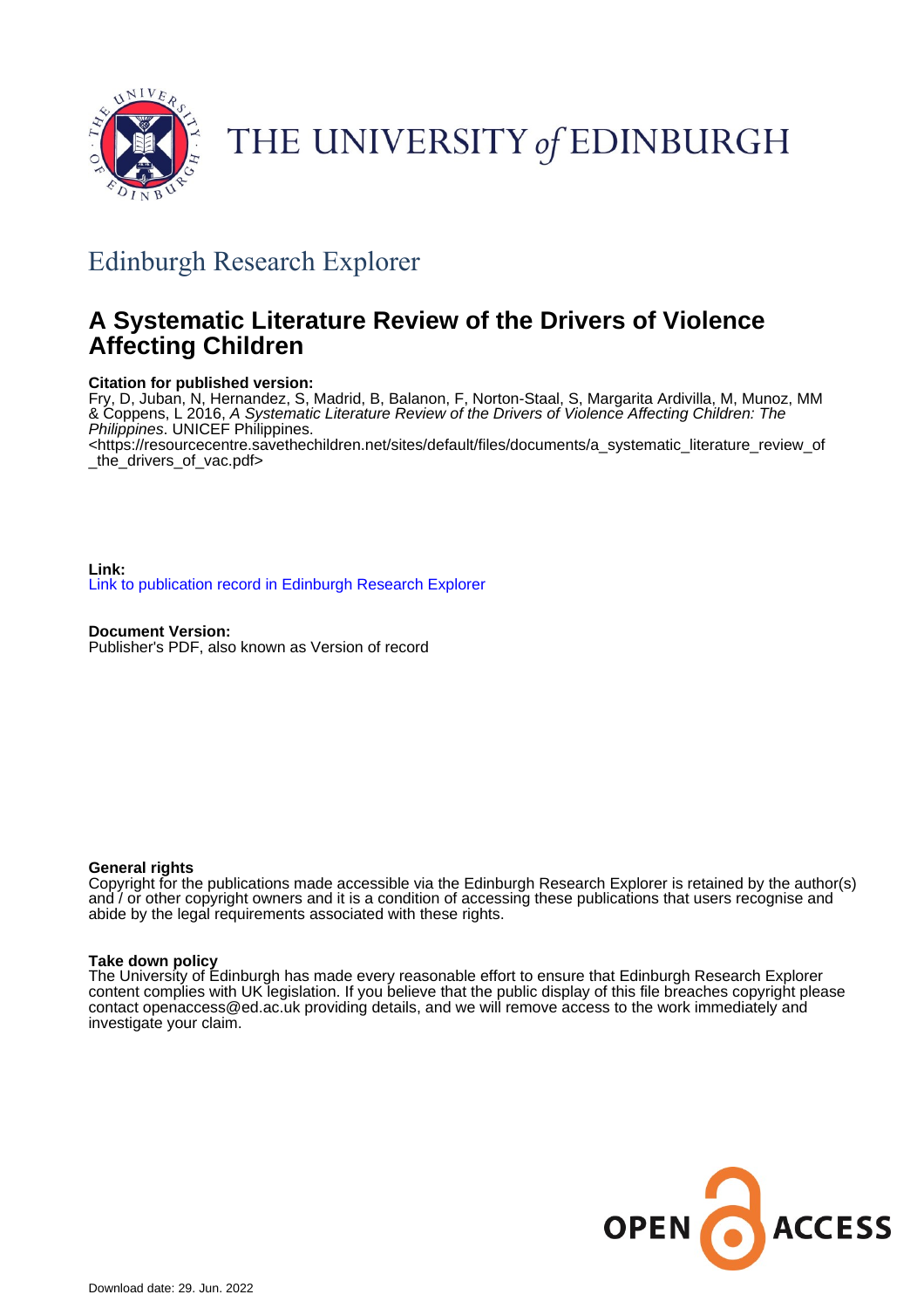

## THE UNIVERSITY of EDINBURGH

## Edinburgh Research Explorer

## **A Systematic Literature Review of the Drivers of Violence Affecting Children**

#### **Citation for published version:**

Fry, D, Juban, N, Hernandez, S, Madrid, B, Balanon, F, Norton-Staal, S, Margarita Ardivilla, M, Munoz, MM & Coppens, L 2016, A Systematic Literature Review of the Drivers of Violence Affecting Children: The Philippines. UNICEF Philippines.

<[https://resourcecentre.savethechildren.net/sites/default/files/documents/a\\_systematic\\_literature\\_review\\_of](https://resourcecentre.savethechildren.net/sites/default/files/documents/a_systematic_literature_review_of_the_drivers_of_vac.pdf) [\\_the\\_drivers\\_of\\_vac.pdf>](https://resourcecentre.savethechildren.net/sites/default/files/documents/a_systematic_literature_review_of_the_drivers_of_vac.pdf)

**Link:** [Link to publication record in Edinburgh Research Explorer](https://www.research.ed.ac.uk/en/publications/32a33a21-b93a-41b8-93f1-15f426fbf0c2)

**Document Version:** Publisher's PDF, also known as Version of record

#### **General rights**

Copyright for the publications made accessible via the Edinburgh Research Explorer is retained by the author(s) and / or other copyright owners and it is a condition of accessing these publications that users recognise and abide by the legal requirements associated with these rights.

#### **Take down policy**

The University of Edinburgh has made every reasonable effort to ensure that Edinburgh Research Explorer content complies with UK legislation. If you believe that the public display of this file breaches copyright please contact openaccess@ed.ac.uk providing details, and we will remove access to the work immediately and investigate your claim.

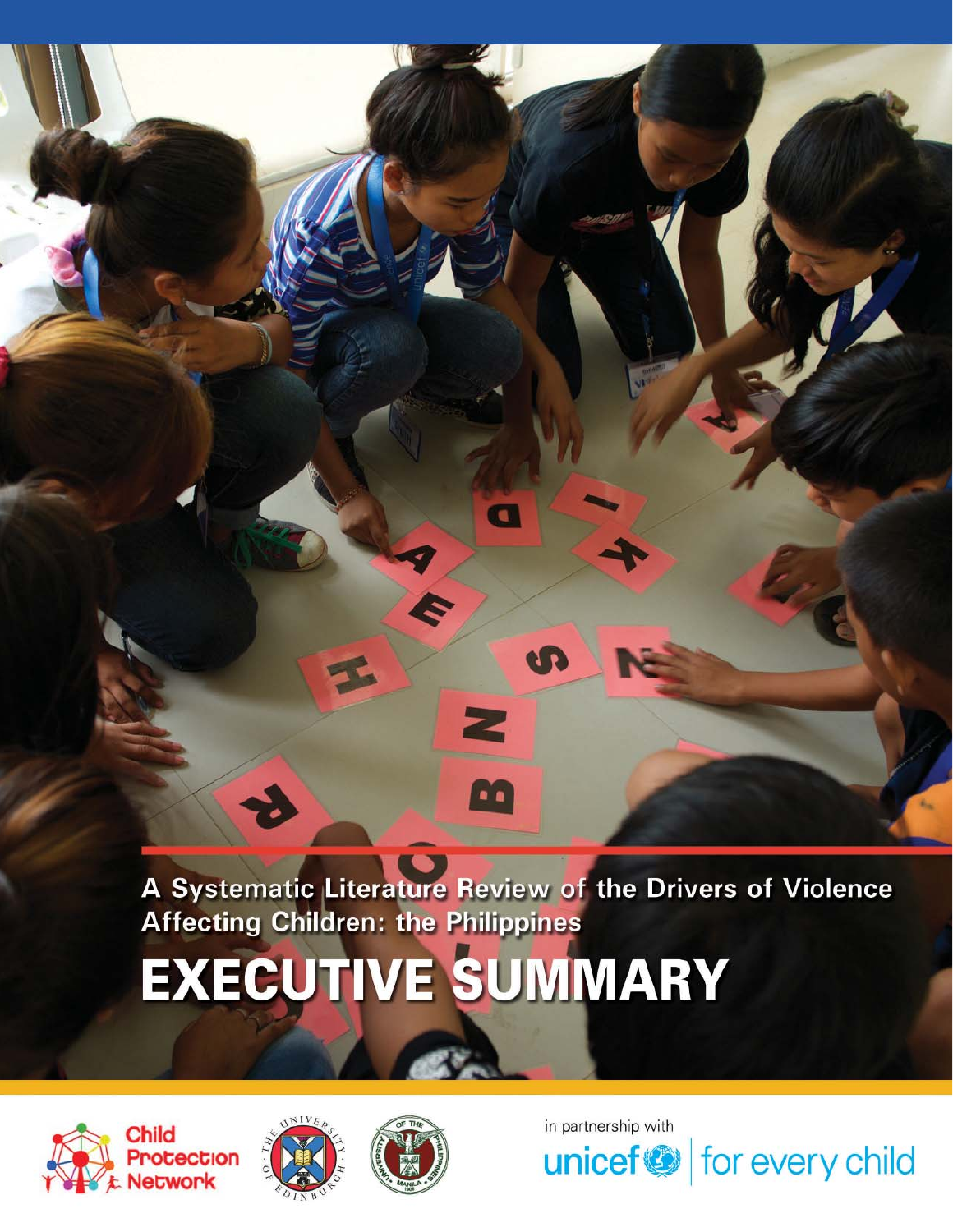

A Systematic Literature Review of the Drivers of Violence<br>Affecting Children: the Philippines

# **EXECUTIVE SUMMARY**







in partnership with

unicef<sup>®</sup> for every child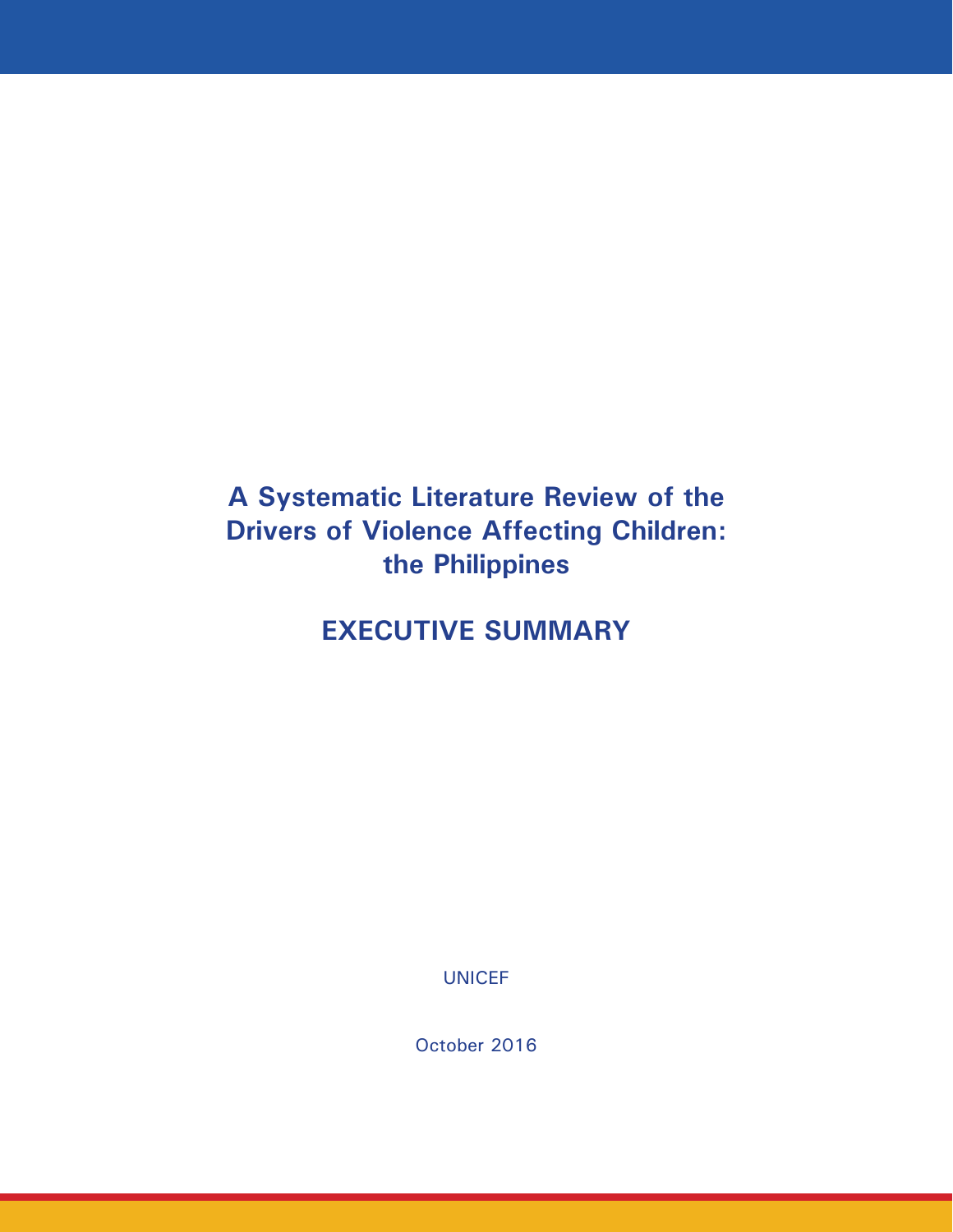## **A Systematic Literature Review of the Drivers of Violence Affecting Children: the Philippines**

**EXECUTIVE SUMMARY**

UNICEF

October 2016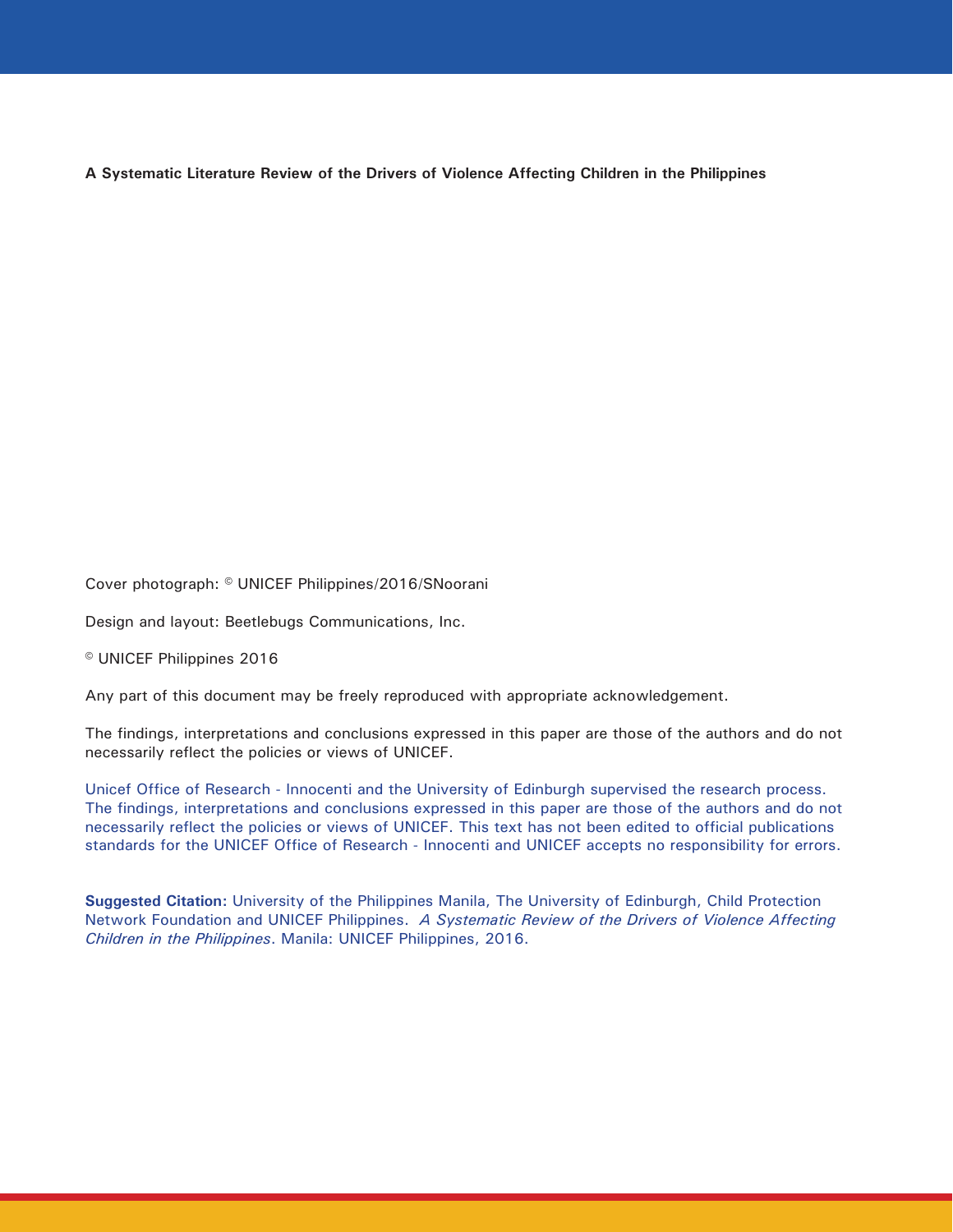**A Systematic Literature Review of the Drivers of Violence Affecting Children in the Philippines** 

Cover photograph: © UNICEF Philippines/2016/SNoorani

Design and layout: Beetlebugs Communications, Inc.

© UNICEF Philippines 2016

Any part of this document may be freely reproduced with appropriate acknowledgement.

The findings, interpretations and conclusions expressed in this paper are those of the authors and do not necessarily reflect the policies or views of UNICEF.

Unicef Office of Research - Innocenti and the University of Edinburgh supervised the research process. The findings, interpretations and conclusions expressed in this paper are those of the authors and do not necessarily reflect the policies or views of UNICEF. This text has not been edited to official publications standards for the UNICEF Office of Research - Innocenti and UNICEF accepts no responsibility for errors.

**Suggested Citation:** University of the Philippines Manila, The University of Edinburgh, Child Protection Network Foundation and UNICEF Philippines. *A Systematic Review of the Drivers of Violence Affecting Children in the Philippines*. Manila: UNICEF Philippines, 2016.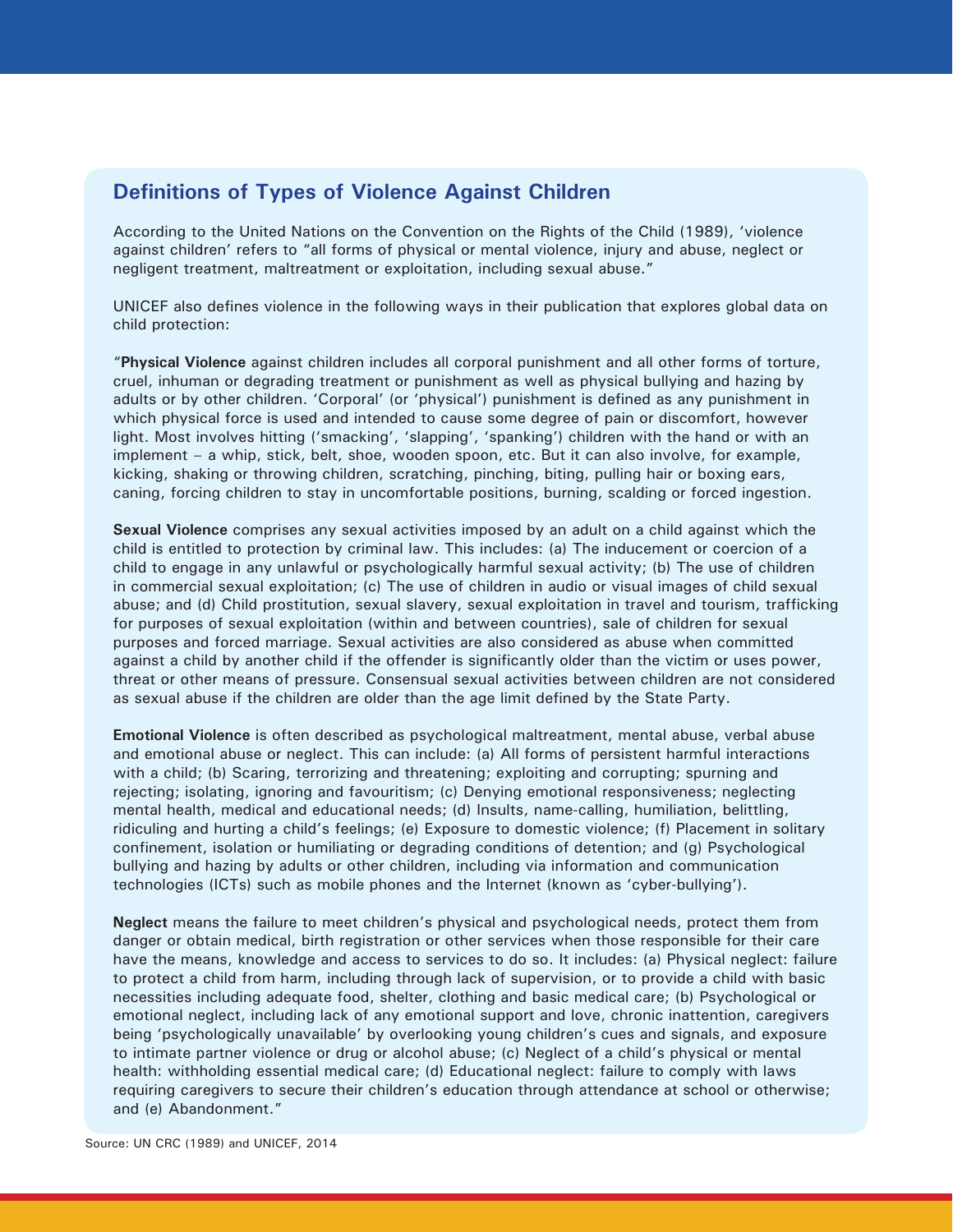### **Definitions of Types of Violence Against Children**

According to the United Nations on the Convention on the Rights of the Child (1989), 'violence against children' refers to "all forms of physical or mental violence, injury and abuse, neglect or negligent treatment, maltreatment or exploitation, including sexual abuse."

UNICEF also defines violence in the following ways in their publication that explores global data on child protection:

"**Physical Violence** against children includes all corporal punishment and all other forms of torture, cruel, inhuman or degrading treatment or punishment as well as physical bullying and hazing by adults or by other children. 'Corporal' (or 'physical') punishment is defined as any punishment in which physical force is used and intended to cause some degree of pain or discomfort, however light. Most involves hitting ('smacking', 'slapping', 'spanking') children with the hand or with an implement – a whip, stick, belt, shoe, wooden spoon, etc. But it can also involve, for example, kicking, shaking or throwing children, scratching, pinching, biting, pulling hair or boxing ears, caning, forcing children to stay in uncomfortable positions, burning, scalding or forced ingestion.

**Sexual Violence** comprises any sexual activities imposed by an adult on a child against which the child is entitled to protection by criminal law. This includes: (a) The inducement or coercion of a child to engage in any unlawful or psychologically harmful sexual activity; (b) The use of children in commercial sexual exploitation; (c) The use of children in audio or visual images of child sexual abuse; and (d) Child prostitution, sexual slavery, sexual exploitation in travel and tourism, trafficking for purposes of sexual exploitation (within and between countries), sale of children for sexual purposes and forced marriage. Sexual activities are also considered as abuse when committed against a child by another child if the offender is significantly older than the victim or uses power, threat or other means of pressure. Consensual sexual activities between children are not considered as sexual abuse if the children are older than the age limit defined by the State Party.

**Emotional Violence** is often described as psychological maltreatment, mental abuse, verbal abuse and emotional abuse or neglect. This can include: (a) All forms of persistent harmful interactions with a child; (b) Scaring, terrorizing and threatening; exploiting and corrupting; spurning and rejecting; isolating, ignoring and favouritism; (c) Denying emotional responsiveness; neglecting mental health, medical and educational needs; (d) Insults, name-calling, humiliation, belittling, ridiculing and hurting a child's feelings; (e) Exposure to domestic violence; (f) Placement in solitary confinement, isolation or humiliating or degrading conditions of detention; and (g) Psychological bullying and hazing by adults or other children, including via information and communication technologies (ICTs) such as mobile phones and the Internet (known as 'cyber-bullying').

**Neglect** means the failure to meet children's physical and psychological needs, protect them from danger or obtain medical, birth registration or other services when those responsible for their care have the means, knowledge and access to services to do so. It includes: (a) Physical neglect: failure to protect a child from harm, including through lack of supervision, or to provide a child with basic necessities including adequate food, shelter, clothing and basic medical care; (b) Psychological or emotional neglect, including lack of any emotional support and love, chronic inattention, caregivers being 'psychologically unavailable' by overlooking young children's cues and signals, and exposure to intimate partner violence or drug or alcohol abuse; (c) Neglect of a child's physical or mental health: withholding essential medical care; (d) Educational neglect: failure to comply with laws requiring caregivers to secure their children's education through attendance at school or otherwise; and (e) Abandonment."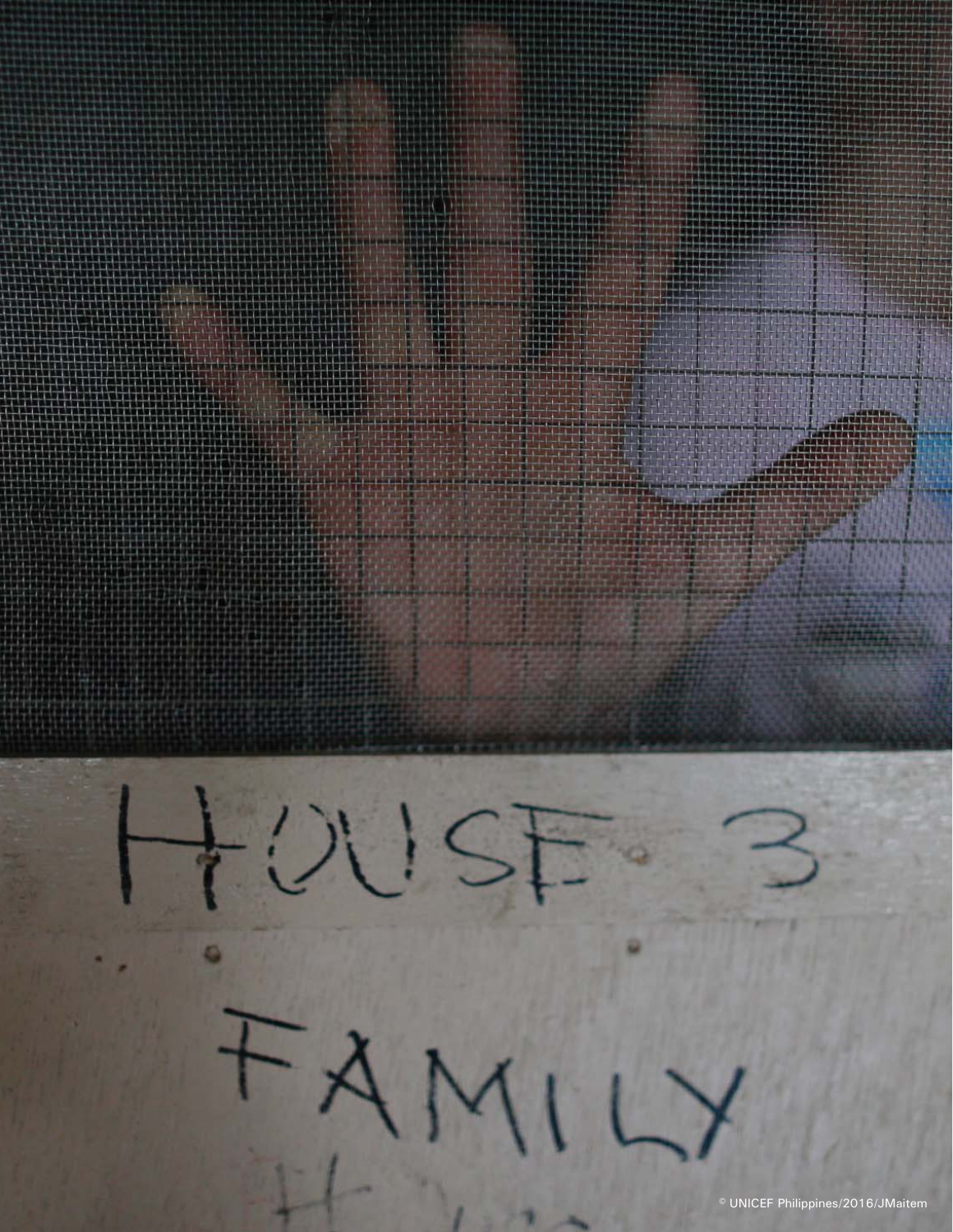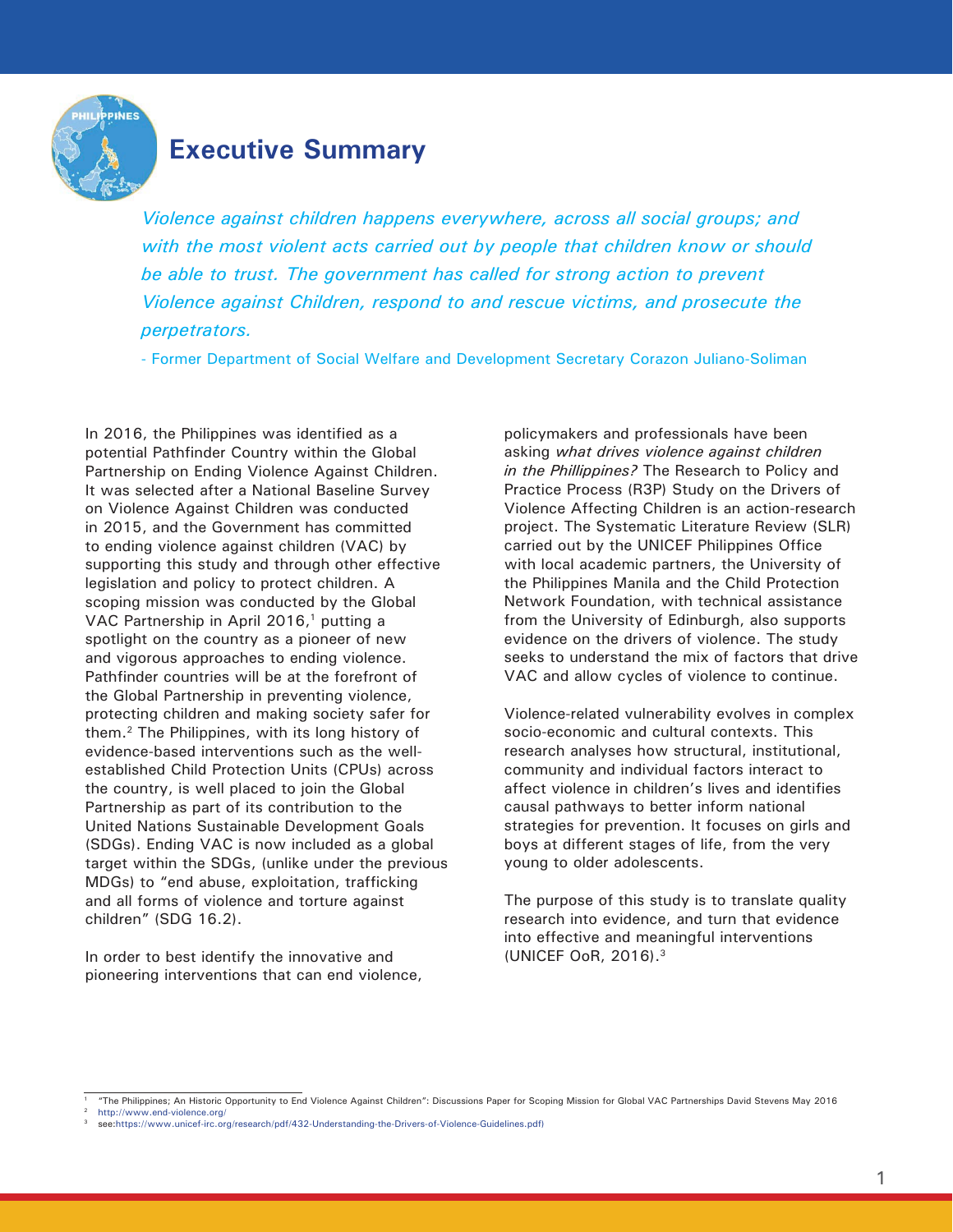

## **Executive Summary**

*Violence against children happens everywhere, across all social groups; and with the most violent acts carried out by people that children know or should be able to trust. The government has called for strong action to prevent Violence against Children, respond to and rescue victims, and prosecute the perpetrators.* 

- Former Department of Social Welfare and Development Secretary Corazon Juliano-Soliman

In 2016, the Philippines was identified as a potential Pathfinder Country within the Global Partnership on Ending Violence Against Children. It was selected after a National Baseline Survey on Violence Against Children was conducted in 2015, and the Government has committed to ending violence against children (VAC) by supporting this study and through other effective legislation and policy to protect children. A scoping mission was conducted by the Global VAC Partnership in April 2016,<sup>1</sup> putting a spotlight on the country as a pioneer of new and vigorous approaches to ending violence. Pathfinder countries will be at the forefront of the Global Partnership in preventing violence, protecting children and making society safer for them.2 The Philippines, with its long history of evidence-based interventions such as the wellestablished Child Protection Units (CPUs) across the country, is well placed to join the Global Partnership as part of its contribution to the United Nations Sustainable Development Goals (SDGs). Ending VAC is now included as a global target within the SDGs, (unlike under the previous MDGs) to "end abuse, exploitation, trafficking and all forms of violence and torture against children" (SDG 16.2).

In order to best identify the innovative and pioneering interventions that can end violence, policymakers and professionals have been asking *what drives violence against children in the Phillippines?* The Research to Policy and Practice Process (R3P) Study on the Drivers of Violence Affecting Children is an action-research project. The Systematic Literature Review (SLR) carried out by the UNICEF Philippines Office with local academic partners, the University of the Philippines Manila and the Child Protection Network Foundation, with technical assistance from the University of Edinburgh, also supports evidence on the drivers of violence. The study seeks to understand the mix of factors that drive VAC and allow cycles of violence to continue.

Violence-related vulnerability evolves in complex socio-economic and cultural contexts. This research analyses how structural, institutional, community and individual factors interact to affect violence in children's lives and identifies causal pathways to better inform national strategies for prevention. It focuses on girls and boys at different stages of life, from the very young to older adolescents.

The purpose of this study is to translate quality research into evidence, and turn that evidence into effective and meaningful interventions (UNICEF OoR, 2016).3

<sup>1 &</sup>quot;The Philippines; An Historic Opportunity to End Violence Against Children": Discussions Paper for Scoping Mission for Global VAC Partnerships David Stevens May 2016

http://www.end-violence.org/

<sup>3</sup> see:https://www.unicef-irc.org/research/pdf/432-Understanding-the-Drivers-of-Violence-Guidelines.pdf)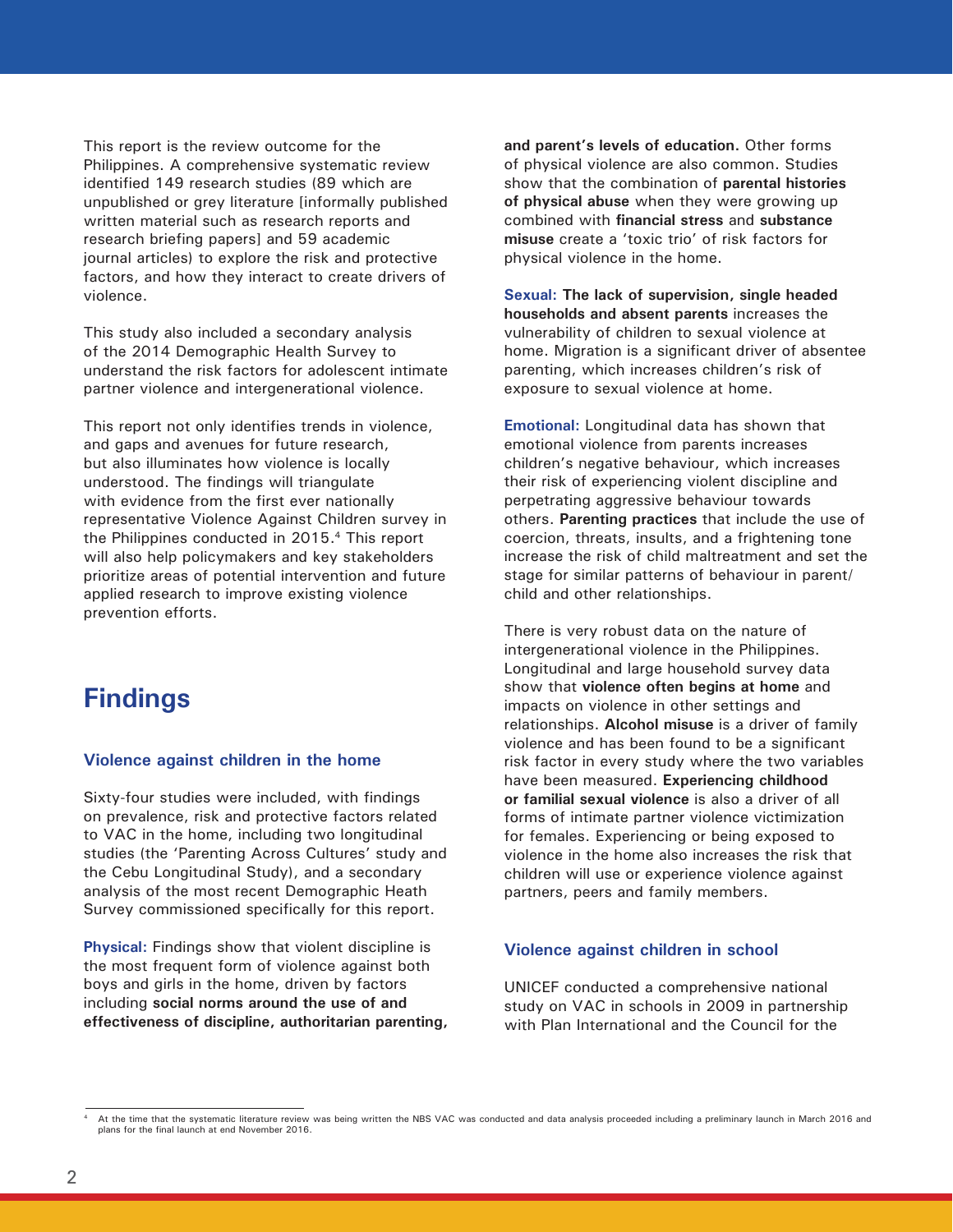This report is the review outcome for the Philippines. A comprehensive systematic review identified 149 research studies (89 which are unpublished or grey literature [informally published written material such as research reports and research briefing papers] and 59 academic journal articles) to explore the risk and protective factors, and how they interact to create drivers of violence.

This study also included a secondary analysis of the 2014 Demographic Health Survey to understand the risk factors for adolescent intimate partner violence and intergenerational violence.

This report not only identifies trends in violence, and gaps and avenues for future research, but also illuminates how violence is locally understood. The findings will triangulate with evidence from the first ever nationally representative Violence Against Children survey in the Philippines conducted in 2015.<sup>4</sup> This report will also help policymakers and key stakeholders prioritize areas of potential intervention and future applied research to improve existing violence prevention efforts.

## **Findings**

#### **Violence against children in the home**

Sixty-four studies were included, with findings on prevalence, risk and protective factors related to VAC in the home, including two longitudinal studies (the 'Parenting Across Cultures' study and the Cebu Longitudinal Study), and a secondary analysis of the most recent Demographic Heath Survey commissioned specifically for this report.

**Physical:** Findings show that violent discipline is the most frequent form of violence against both boys and girls in the home, driven by factors including **social norms around the use of and effectiveness of discipline, authoritarian parenting,**  **and parent's levels of education.** Other forms of physical violence are also common. Studies show that the combination of **parental histories of physical abuse** when they were growing up combined with **financial stress** and **substance misuse** create a 'toxic trio' of risk factors for physical violence in the home.

**Sexual: The lack of supervision, single headed households and absent parents** increases the vulnerability of children to sexual violence at home. Migration is a significant driver of absentee parenting, which increases children's risk of exposure to sexual violence at home.

**Emotional:** Longitudinal data has shown that emotional violence from parents increases children's negative behaviour, which increases their risk of experiencing violent discipline and perpetrating aggressive behaviour towards others. **Parenting practices** that include the use of coercion, threats, insults, and a frightening tone increase the risk of child maltreatment and set the stage for similar patterns of behaviour in parent/ child and other relationships.

There is very robust data on the nature of intergenerational violence in the Philippines. Longitudinal and large household survey data show that **violence often begins at home** and impacts on violence in other settings and relationships. **Alcohol misuse** is a driver of family violence and has been found to be a significant risk factor in every study where the two variables have been measured. **Experiencing childhood or familial sexual violence** is also a driver of all forms of intimate partner violence victimization for females. Experiencing or being exposed to violence in the home also increases the risk that children will use or experience violence against partners, peers and family members.

#### **Violence against children in school**

UNICEF conducted a comprehensive national study on VAC in schools in 2009 in partnership with Plan International and the Council for the

<sup>4</sup> At the time that the systematic literature review was being written the NBS VAC was conducted and data analysis proceeded including a preliminary launch in March 2016 and plans for the final launch at end November 2016.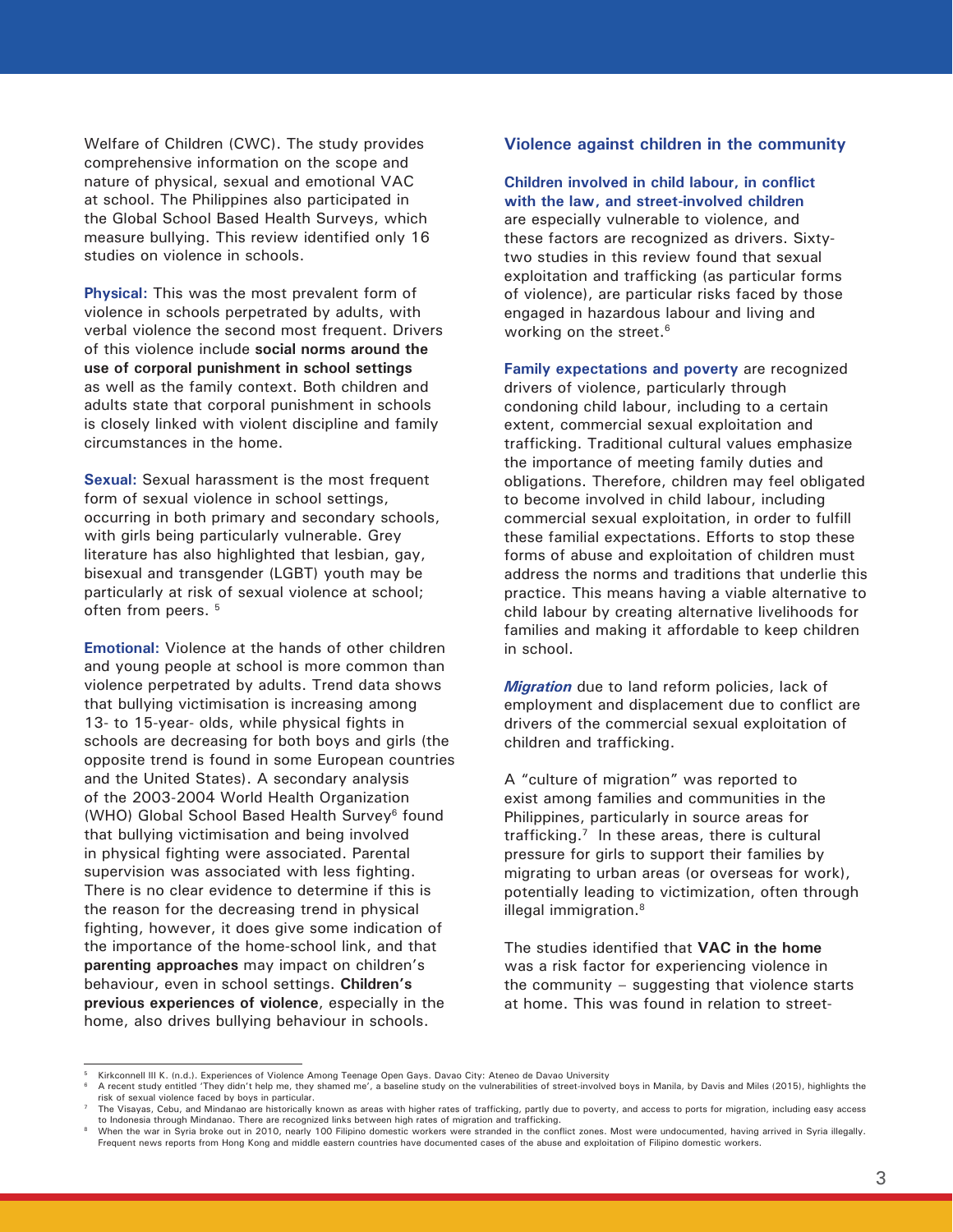Welfare of Children (CWC). The study provides comprehensive information on the scope and nature of physical, sexual and emotional VAC at school. The Philippines also participated in the Global School Based Health Surveys, which measure bullying. This review identified only 16 studies on violence in schools.

**Physical:** This was the most prevalent form of violence in schools perpetrated by adults, with verbal violence the second most frequent. Drivers of this violence include **social norms around the use of corporal punishment in school settings**  as well as the family context. Both children and adults state that corporal punishment in schools is closely linked with violent discipline and family circumstances in the home.

**Sexual:** Sexual harassment is the most frequent form of sexual violence in school settings, occurring in both primary and secondary schools, with girls being particularly vulnerable. Grey literature has also highlighted that lesbian, gay, bisexual and transgender (LGBT) youth may be particularly at risk of sexual violence at school; often from peers.<sup>5</sup>

**Emotional:** Violence at the hands of other children and young people at school is more common than violence perpetrated by adults. Trend data shows that bullying victimisation is increasing among 13- to 15-year- olds, while physical fights in schools are decreasing for both boys and girls (the opposite trend is found in some European countries and the United States). A secondary analysis of the 2003-2004 World Health Organization (WHO) Global School Based Health Survey<sup>6</sup> found that bullying victimisation and being involved in physical fighting were associated. Parental supervision was associated with less fighting. There is no clear evidence to determine if this is the reason for the decreasing trend in physical fighting, however, it does give some indication of the importance of the home-school link, and that **parenting approaches** may impact on children's behaviour, even in school settings. **Children's previous experiences of violence**, especially in the home, also drives bullying behaviour in schools.

#### **Violence against children in the community**

**Children involved in child labour, in conflict with the law, and street-involved children**  are especially vulnerable to violence, and these factors are recognized as drivers. Sixtytwo studies in this review found that sexual exploitation and trafficking (as particular forms of violence), are particular risks faced by those engaged in hazardous labour and living and working on the street.<sup>6</sup>

**Family expectations and poverty** are recognized drivers of violence, particularly through condoning child labour, including to a certain extent, commercial sexual exploitation and trafficking. Traditional cultural values emphasize the importance of meeting family duties and obligations. Therefore, children may feel obligated to become involved in child labour, including commercial sexual exploitation, in order to fulfill these familial expectations. Efforts to stop these forms of abuse and exploitation of children must address the norms and traditions that underlie this practice. This means having a viable alternative to child labour by creating alternative livelihoods for families and making it affordable to keep children in school.

*Migration* due to land reform policies, lack of employment and displacement due to conflict are drivers of the commercial sexual exploitation of children and trafficking.

A "culture of migration" was reported to exist among families and communities in the Philippines, particularly in source areas for trafficking. $<sup>7</sup>$  In these areas, there is cultural</sup> pressure for girls to support their families by migrating to urban areas (or overseas for work), potentially leading to victimization, often through illegal immigration.<sup>8</sup>

The studies identified that **VAC in the home** was a risk factor for experiencing violence in the community – suggesting that violence starts at home. This was found in relation to street-

Kirkconnell III K. (n.d.). Experiences of Violence Among Teenage Open Gays. Davao City: Ateneo de Davao University

<sup>6</sup> A recent study entitled 'They didn't help me, they shamed me', a baseline study on the vulnerabilities of street-involved boys in Manila, by Davis and Miles (2015), highlights the risk of sexual violence faced by boys in particular.

The Visayas, Cebu, and Mindanao are historically known as areas with higher rates of trafficking, partly due to poverty, and access to ports for migration, including easy access to Indonesia through Mindanao. There are recognized links between high rates of migration and trafficking.

When the war in Syria broke out in 2010, nearly 100 Filipino domestic workers were stranded in the conflict zones. Most were undocumented, having arrived in Syria illegally Frequent news reports from Hong Kong and middle eastern countries have documented cases of the abuse and exploitation of Filipino domestic workers.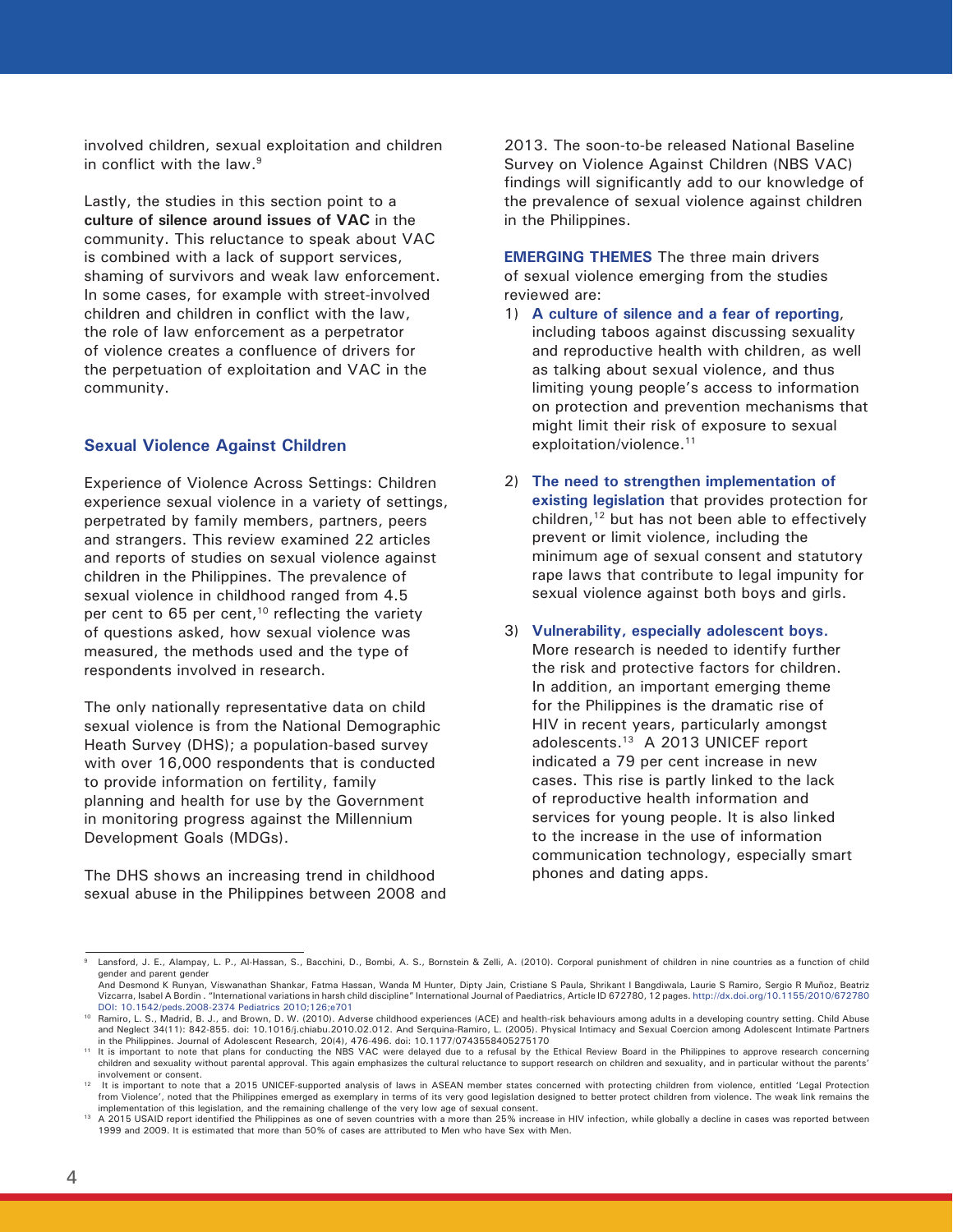involved children, sexual exploitation and children in conflict with the law.9

Lastly, the studies in this section point to a **culture of silence around issues of VAC** in the community. This reluctance to speak about VAC is combined with a lack of support services, shaming of survivors and weak law enforcement. In some cases, for example with street-involved children and children in conflict with the law, the role of law enforcement as a perpetrator of violence creates a confluence of drivers for the perpetuation of exploitation and VAC in the community.

#### **Sexual Violence Against Children**

Experience of Violence Across Settings: Children experience sexual violence in a variety of settings, perpetrated by family members, partners, peers and strangers. This review examined 22 articles and reports of studies on sexual violence against children in the Philippines. The prevalence of sexual violence in childhood ranged from 4.5 per cent to 65 per cent,<sup>10</sup> reflecting the variety of questions asked, how sexual violence was measured, the methods used and the type of respondents involved in research.

The only nationally representative data on child sexual violence is from the National Demographic Heath Survey (DHS); a population-based survey with over 16,000 respondents that is conducted to provide information on fertility, family planning and health for use by the Government in monitoring progress against the Millennium Development Goals (MDGs).

The DHS shows an increasing trend in childhood sexual abuse in the Philippines between 2008 and 2013. The soon-to-be released National Baseline Survey on Violence Against Children (NBS VAC) findings will significantly add to our knowledge of the prevalence of sexual violence against children in the Philippines.

**EMERGING THEMES** The three main drivers of sexual violence emerging from the studies reviewed are:

- 1) **A culture of silence and a fear of reporting**, including taboos against discussing sexuality and reproductive health with children, as well as talking about sexual violence, and thus limiting young people's access to information on protection and prevention mechanisms that might limit their risk of exposure to sexual exploitation/violence.<sup>11</sup>
- 2) **The need to strengthen implementation of existing legislation** that provides protection for children,<sup>12</sup> but has not been able to effectively prevent or limit violence, including the minimum age of sexual consent and statutory rape laws that contribute to legal impunity for sexual violence against both boys and girls.
- 3) **Vulnerability, especially adolescent boys.**  More research is needed to identify further the risk and protective factors for children. In addition, an important emerging theme for the Philippines is the dramatic rise of HIV in recent years, particularly amongst adolescents.13 A 2013 UNICEF report indicated a 79 per cent increase in new cases. This rise is partly linked to the lack of reproductive health information and services for young people. It is also linked to the increase in the use of information communication technology, especially smart phones and dating apps.

Lansford, J. E., Alampay, L. P., Al-Hassan, S., Bacchini, D., Bombi, A. S., Bornstein & Zelli, A. (2010). Corporal punishment of children in nine countries as a function of child gender and parent gender And Desmond K Runyan, Viswanathan Shankar, Fatma Hassan, Wanda M Hunter, Dipty Jain, Cristiane S Paula, Shrikant I Bangdiwala, Laurie S Ramiro, Sergio R Muñoz, Beatriz

Vizcarra, Isabel A Bordin . "International variations in harsh child discipline" International Journal of Paediatrics, Article ID 672780, 12 pages. http://dx.doi.org/10.1155/2010/672780 DOI: 10.1542/peds.2008-2374 Pediatrics 2010;126;e701

<sup>&</sup>lt;sup>10</sup> Ramiro, L. S., Madrid, B. J., and Brown, D. W. (2010). Adverse childhood experiences (ACE) and health-risk behaviours among adults in a developing country setting. Child Abuse and Neglect 34(11): 842-855. doi: 10.1016/j.chiabu.2010.02.012. And Serquina-Ramiro, L. (2005). Physical Intimacy and Sexual Coercion among Adolescent Intimate Partners in the Philippines. Journal of Adolescent Research, 20(4), 476-496. doi: 10.1177/0743558405275170

It is important to note that plans for conducting the NBS VAC were delayed due to a refusal by the Ethical Review Board in the Philippines to approve research concerning<br>"children and sexuality without parental approval. T involvement or consent.

<sup>12</sup> It is important to note that a 2015 UNICEF-supported analysis of laws in ASEAN member states concerned with protecting children from violence, entitled 'Legal Protection from Violence', noted that the Philippines emerged as exemplary in terms of its very good legislation designed to better protect children from violence. The weak link remains the implementation of this legislation, and the remaining challenge of the very low age of sexual consent.

<sup>&</sup>lt;sup>13</sup> A 2015 USAID report identified the Philippines as one of seven countries with a more than 25% increase in HIV infection, while globally a decline in cases was reported between 1999 and 2009. It is estimated that more than 50% of cases are attributed to Men who have Sex with Men.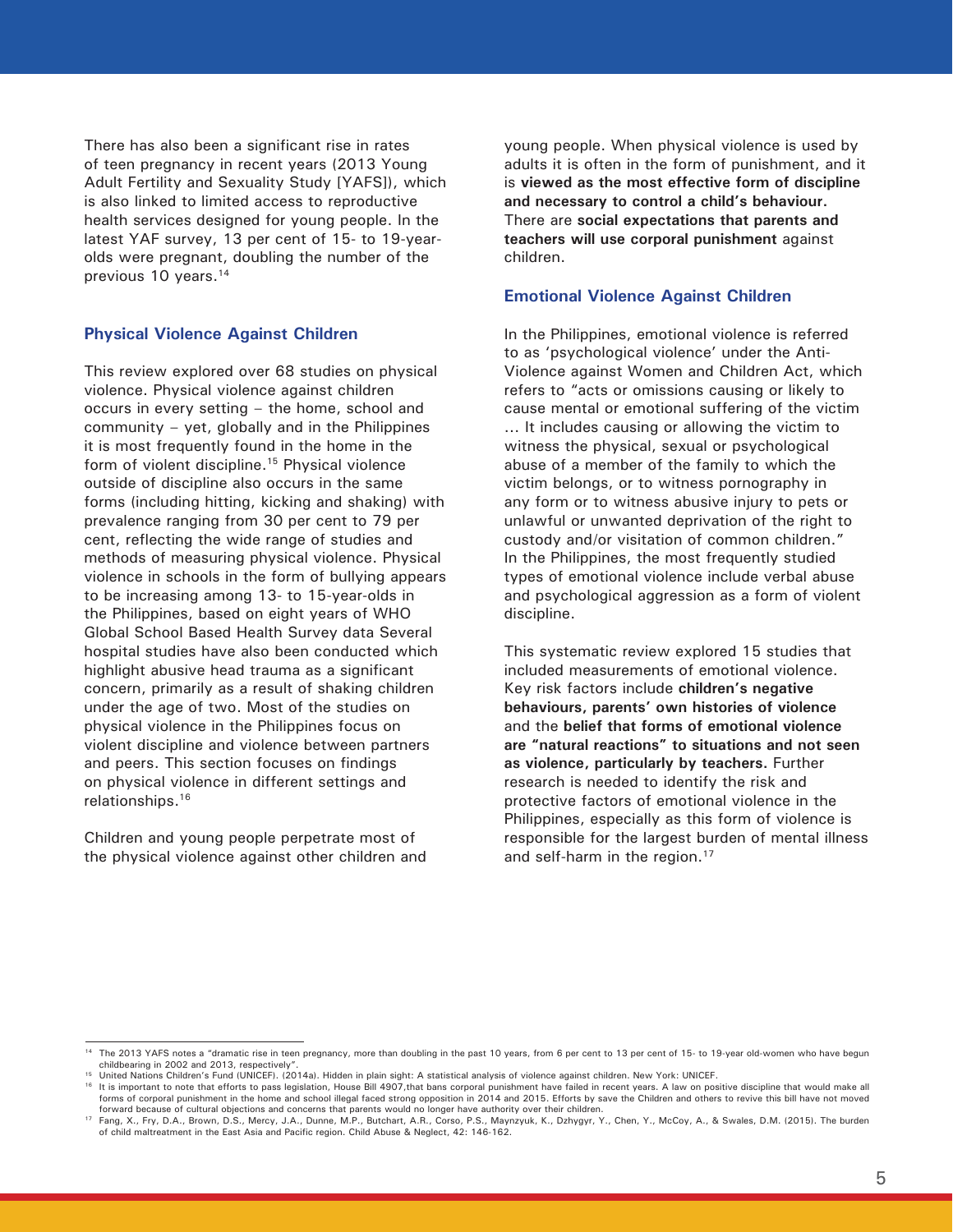There has also been a significant rise in rates of teen pregnancy in recent years (2013 Young Adult Fertility and Sexuality Study [YAFS]), which is also linked to limited access to reproductive health services designed for young people. In the latest YAF survey, 13 per cent of 15- to 19-yearolds were pregnant, doubling the number of the previous 10 years.<sup>14</sup>

#### **Physical Violence Against Children**

This review explored over 68 studies on physical violence. Physical violence against children occurs in every setting – the home, school and community – yet, globally and in the Philippines it is most frequently found in the home in the form of violent discipline.<sup>15</sup> Physical violence outside of discipline also occurs in the same forms (including hitting, kicking and shaking) with prevalence ranging from 30 per cent to 79 per cent, reflecting the wide range of studies and methods of measuring physical violence. Physical violence in schools in the form of bullying appears to be increasing among 13- to 15-year-olds in the Philippines, based on eight years of WHO Global School Based Health Survey data Several hospital studies have also been conducted which highlight abusive head trauma as a significant concern, primarily as a result of shaking children under the age of two. Most of the studies on physical violence in the Philippines focus on violent discipline and violence between partners and peers. This section focuses on findings on physical violence in different settings and relationships.16

Children and young people perpetrate most of the physical violence against other children and young people. When physical violence is used by adults it is often in the form of punishment, and it is **viewed as the most effective form of discipline and necessary to control a child's behaviour.** There are **social expectations that parents and teachers will use corporal punishment** against children.

#### **Emotional Violence Against Children**

In the Philippines, emotional violence is referred to as 'psychological violence' under the Anti-Violence against Women and Children Act, which refers to "acts or omissions causing or likely to cause mental or emotional suffering of the victim ... It includes causing or allowing the victim to witness the physical, sexual or psychological abuse of a member of the family to which the victim belongs, or to witness pornography in any form or to witness abusive injury to pets or unlawful or unwanted deprivation of the right to custody and/or visitation of common children." In the Philippines, the most frequently studied types of emotional violence include verbal abuse and psychological aggression as a form of violent discipline.

This systematic review explored 15 studies that included measurements of emotional violence. Key risk factors include **children's negative behaviours, parents' own histories of violence** and the **belief that forms of emotional violence are "natural reactions" to situations and not seen as violence, particularly by teachers.** Further research is needed to identify the risk and protective factors of emotional violence in the Philippines, especially as this form of violence is responsible for the largest burden of mental illness and self-harm in the region.<sup>17</sup>

<sup>&</sup>lt;sup>14</sup> The 2013 YAFS notes a "dramatic rise in teen pregnancy, more than doubling in the past 10 years, from 6 per cent to 13 per cent of 15- to 19-year old-women who have begun childbearing in 2002 and 2013, respectively".

<sup>15</sup> United Nations Children's Fund (UNICEF). (2014a). Hidden in plain sight: A statistical analysis of violence against children. New York: UNICEF.

<sup>&</sup>lt;sup>16</sup> It is important to note that efforts to pass legislation, House Bill 4907, that bans corporal punishment have failed in recent years. A law on positive discipline that would make all forms of corporal punishment in the home and school illegal faced strong opposition in 2014 and 2015. Efforts by save the Children and others to revive this bill have not moved forward because of cultural objections and concerns that parents would no longer have authority over their children.

<sup>17</sup> Fang, X., Fry, D.A., Brown, D.S., Mercy, J.A., Dunne, M.P., Butchart, A.R., Corso, P.S., Maynzyuk, K., Dzhygyr, Y., Chen, Y., McCoy, A., & Swales, D.M. (2015). The burden of child maltreatment in the East Asia and Pacific region. Child Abuse & Neglect, 42: 146-162.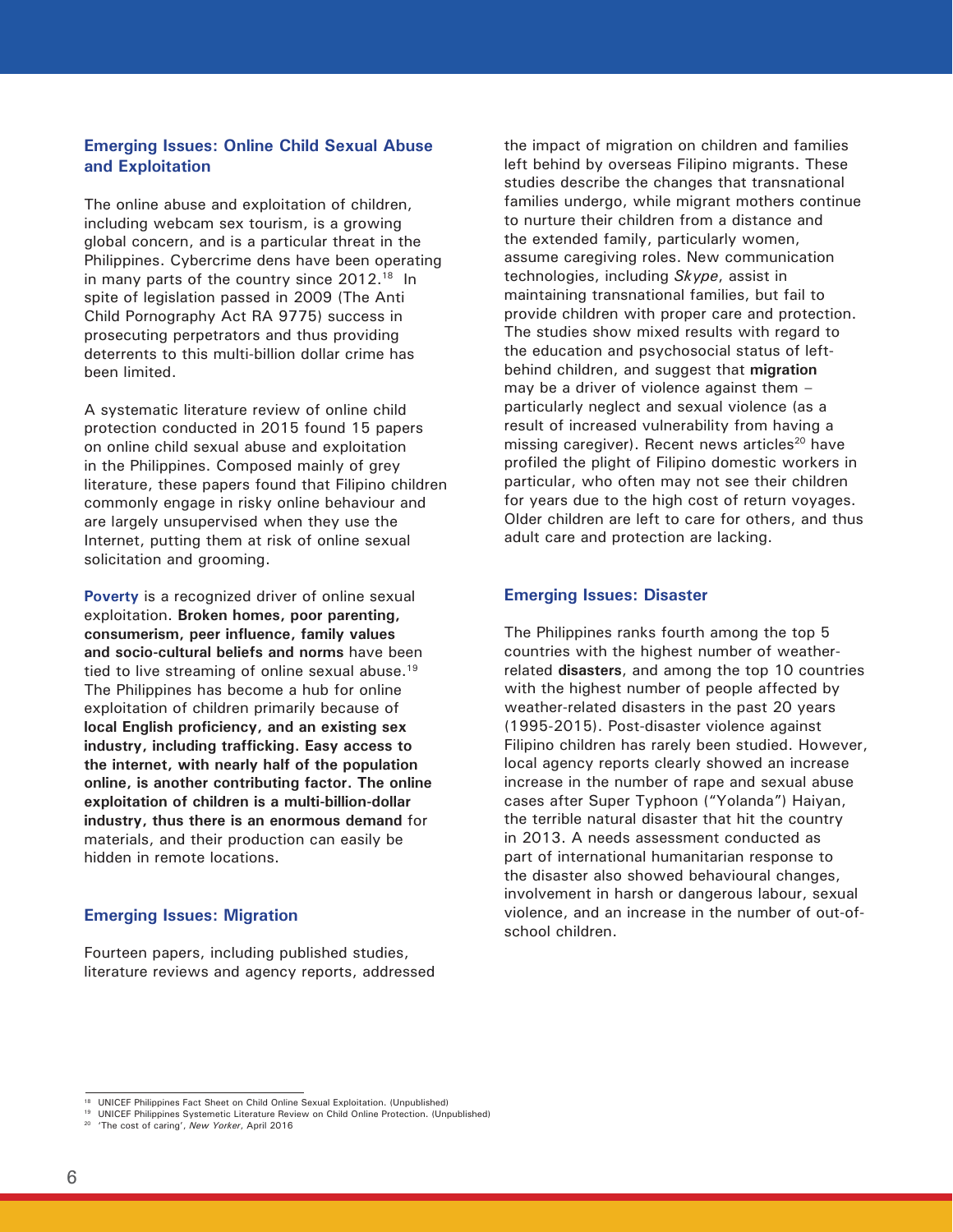#### **Emerging Issues: Online Child Sexual Abuse and Exploitation**

The online abuse and exploitation of children, including webcam sex tourism, is a growing global concern, and is a particular threat in the Philippines. Cybercrime dens have been operating in many parts of the country since 2012.<sup>18</sup> In spite of legislation passed in 2009 (The Anti Child Pornography Act RA 9775) success in prosecuting perpetrators and thus providing deterrents to this multi-billion dollar crime has been limited.

A systematic literature review of online child protection conducted in 2015 found 15 papers on online child sexual abuse and exploitation in the Philippines. Composed mainly of grey literature, these papers found that Filipino children commonly engage in risky online behaviour and are largely unsupervised when they use the Internet, putting them at risk of online sexual solicitation and grooming.

**Poverty** is a recognized driver of online sexual exploitation. **Broken homes, poor parenting, consumerism, peer influence, family values and socio-cultural beliefs and norms** have been tied to live streaming of online sexual abuse.19 The Philippines has become a hub for online exploitation of children primarily because of **local English proficiency, and an existing sex industry, including trafficking. Easy access to the internet, with nearly half of the population online, is another contributing factor. The online exploitation of children is a multi-billion-dollar industry, thus there is an enormous demand** for materials, and their production can easily be hidden in remote locations.

#### **Emerging Issues: Migration**

Fourteen papers, including published studies, literature reviews and agency reports, addressed

the impact of migration on children and families left behind by overseas Filipino migrants. These studies describe the changes that transnational families undergo, while migrant mothers continue to nurture their children from a distance and the extended family, particularly women, assume caregiving roles. New communication technologies, including *Skype*, assist in maintaining transnational families, but fail to provide children with proper care and protection. The studies show mixed results with regard to the education and psychosocial status of leftbehind children, and suggest that **migration** may be a driver of violence against them – particularly neglect and sexual violence (as a result of increased vulnerability from having a missing caregiver). Recent news articles<sup>20</sup> have profiled the plight of Filipino domestic workers in particular, who often may not see their children for years due to the high cost of return voyages. Older children are left to care for others, and thus adult care and protection are lacking.

#### **Emerging Issues: Disaster**

The Philippines ranks fourth among the top 5 countries with the highest number of weatherrelated **disasters**, and among the top 10 countries with the highest number of people affected by weather-related disasters in the past 20 years (1995-2015). Post-disaster violence against Filipino children has rarely been studied. However, local agency reports clearly showed an increase increase in the number of rape and sexual abuse cases after Super Typhoon ("Yolanda") Haiyan, the terrible natural disaster that hit the country in 2013. A needs assessment conducted as part of international humanitarian response to the disaster also showed behavioural changes, involvement in harsh or dangerous labour, sexual violence, and an increase in the number of out-ofschool children.

<sup>&</sup>lt;sup>18</sup> UNICEF Philippines Fact Sheet on Child Online Sexual Exploitation. (Unpublished)

<sup>19</sup> UNICEF Philippines Systemetic Literature Review on Child Online Protection. (Unpublished)

<sup>20 &#</sup>x27;The cost of caring', *New Yorker*, April 2016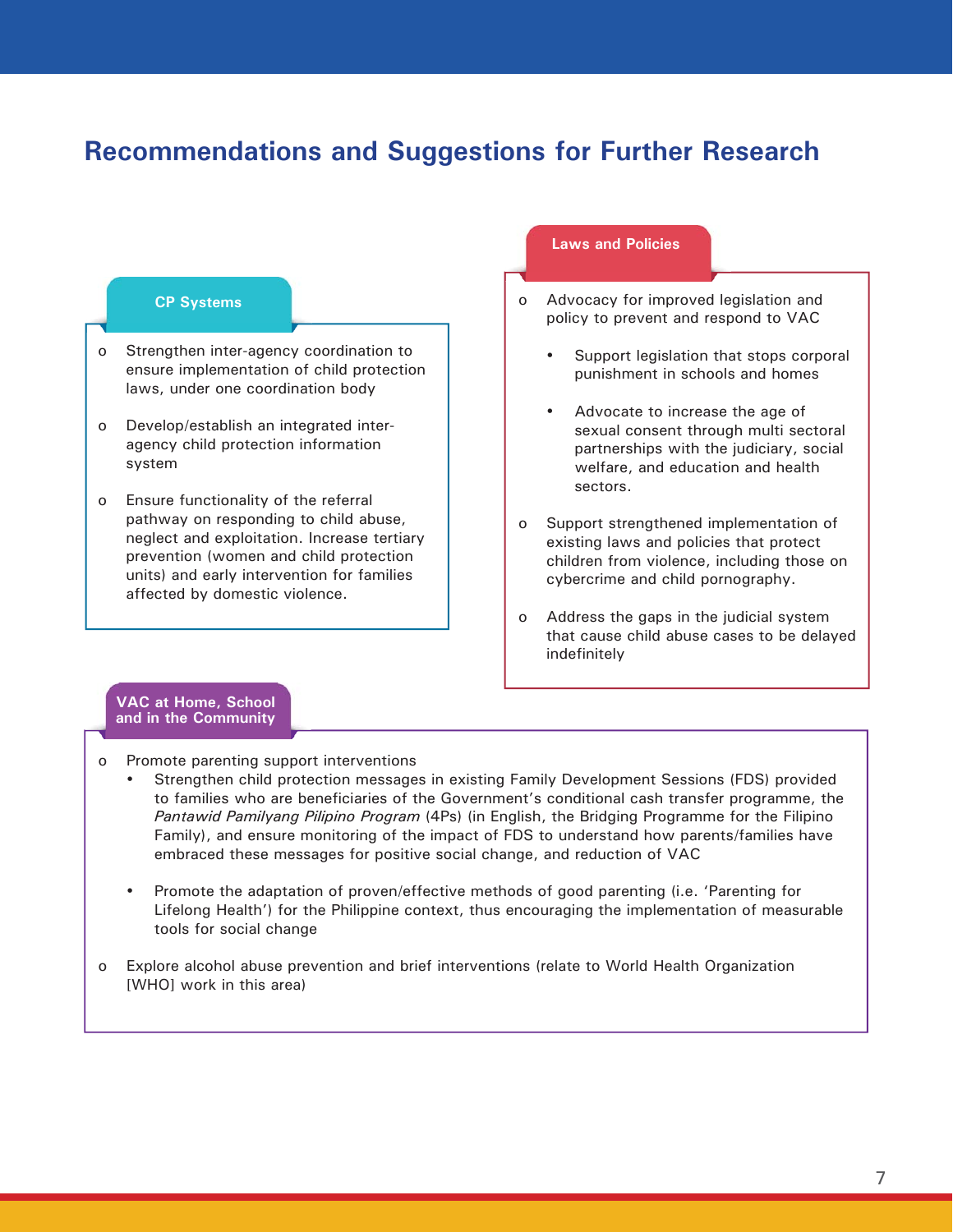## **Recommendations and Suggestions for Further Research**

- o Strengthen inter-agency coordination to ensure implementation of child protection laws, under one coordination body
- o Develop/establish an integrated interagency child protection information system
- o Ensure functionality of the referral pathway on responding to child abuse, neglect and exploitation. Increase tertiary prevention (women and child protection units) and early intervention for families affected by domestic violence.

#### **Laws and Policies**

- **CP Systems or all and Systems or all and Advocacy for improved legislation and** policy to prevent and respond to VAC
	- Support legislation that stops corporal punishment in schools and homes
	- Advocate to increase the age of sexual consent through multi sectoral partnerships with the judiciary, social welfare, and education and health sectors.
	- o Support strengthened implementation of existing laws and policies that protect children from violence, including those on cybercrime and child pornography.
	- o Address the gaps in the judicial system that cause child abuse cases to be delayed indefinitely

#### **VAC at Home, School and in the Community**

- o Promote parenting support interventions
	- Strengthen child protection messages in existing Family Development Sessions (FDS) provided to families who are beneficiaries of the Government's conditional cash transfer programme, the *Pantawid Pamilyang Pilipino Program* (4Ps) (in English, the Bridging Programme for the Filipino Family), and ensure monitoring of the impact of FDS to understand how parents/families have embraced these messages for positive social change, and reduction of VAC
	- Promote the adaptation of proven/effective methods of good parenting (i.e. 'Parenting for Lifelong Health') for the Philippine context, thus encouraging the implementation of measurable tools for social change
- o Explore alcohol abuse prevention and brief interventions (relate to World Health Organization [WHO] work in this area)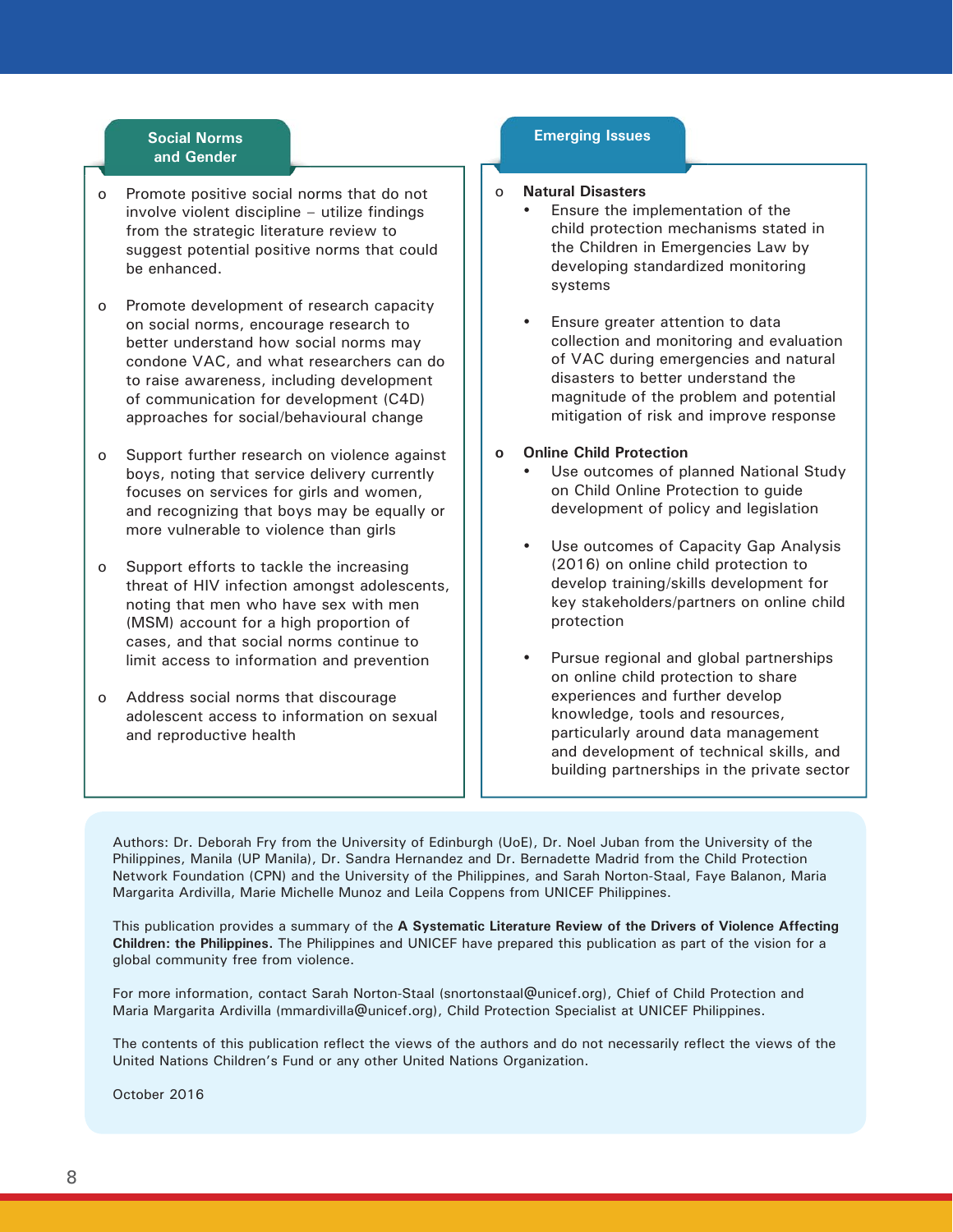#### **Social Norms and Gender**

- o Promote positive social norms that do not involve violent discipline – utilize findings from the strategic literature review to suggest potential positive norms that could be enhanced.
- o Promote development of research capacity on social norms, encourage research to better understand how social norms may condone VAC, and what researchers can do to raise awareness, including development of communication for development (C4D) approaches for social/behavioural change
- o Support further research on violence against boys, noting that service delivery currently focuses on services for girls and women, and recognizing that boys may be equally or more vulnerable to violence than girls
- o Support efforts to tackle the increasing threat of HIV infection amongst adolescents, noting that men who have sex with men (MSM) account for a high proportion of cases, and that social norms continue to limit access to information and prevention
- o Address social norms that discourage adolescent access to information on sexual and reproductive health

#### **Emerging Issues**

#### o **Natural Disasters**

- Ensure the implementation of the child protection mechanisms stated in the Children in Emergencies Law by developing standardized monitoring systems
- Ensure greater attention to data collection and monitoring and evaluation of VAC during emergencies and natural disasters to better understand the magnitude of the problem and potential mitigation of risk and improve response

#### **o Online Child Protection**

- Use outcomes of planned National Study on Child Online Protection to guide development of policy and legislation
- Use outcomes of Capacity Gap Analysis (2016) on online child protection to develop training/skills development for key stakeholders/partners on online child protection
- Pursue regional and global partnerships on online child protection to share experiences and further develop knowledge, tools and resources, particularly around data management and development of technical skills, and building partnerships in the private sector

Authors: Dr. Deborah Fry from the University of Edinburgh (UoE), Dr. Noel Juban from the University of the Philippines, Manila (UP Manila), Dr. Sandra Hernandez and Dr. Bernadette Madrid from the Child Protection Network Foundation (CPN) and the University of the Philippines, and Sarah Norton-Staal, Faye Balanon, Maria Margarita Ardivilla, Marie Michelle Munoz and Leila Coppens from UNICEF Philippines.

This publication provides a summary of the **A Systematic Literature Review of the Drivers of Violence Affecting Children: the Philippines.** The Philippines and UNICEF have prepared this publication as part of the vision for a global community free from violence.

For more information, contact Sarah Norton-Staal (snortonstaal@unicef.org), Chief of Child Protection and Maria Margarita Ardivilla (mmardivilla@unicef.org), Child Protection Specialist at UNICEF Philippines.

The contents of this publication reflect the views of the authors and do not necessarily reflect the views of the United Nations Children's Fund or any other United Nations Organization.

October 2016